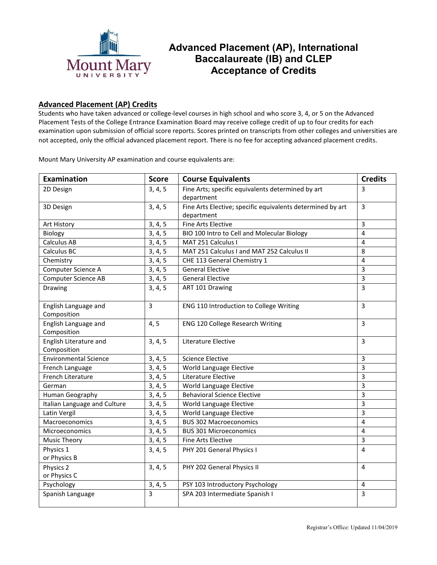

## **Advanced Placement (AP), International Baccalaureate (IB) and CLEP Acceptance of Credits**

## **Advanced Placement (AP) Credits**

Students who have taken advanced or college‐level courses in high school and who score 3, 4, or 5 on the Advanced Placement Tests of the College Entrance Examination Board may receive college credit of up to four credits for each examination upon submission of official score reports. Scores printed on transcripts from other colleges and universities are not accepted, only the official advanced placement report. There is no fee for accepting advanced placement credits.

Mount Mary University AP examination and course equivalents are:

| Examination                           | <b>Score</b> | <b>Course Equivalents</b>                                                | <b>Credits</b> |
|---------------------------------------|--------------|--------------------------------------------------------------------------|----------------|
| 2D Design                             | 3, 4, 5      | Fine Arts; specific equivalents determined by art<br>department          | 3              |
| 3D Design                             | 3, 4, 5      | Fine Arts Elective; specific equivalents determined by art<br>department | 3              |
| Art History                           | 3, 4, 5      | <b>Fine Arts Elective</b>                                                | $\overline{3}$ |
| Biology                               | 3, 4, 5      | BIO 100 Intro to Cell and Molecular Biology                              | 4              |
| Calculus AB                           | 3, 4, 5      | MAT 251 Calculus I                                                       | 4              |
| Calculus BC                           | 3, 4, 5      | MAT 251 Calculus I and MAT 252 Calculus II                               | 8              |
| Chemistry                             | 3, 4, 5      | CHE 113 General Chemistry 1                                              | 4              |
| Computer Science A                    | 3, 4, 5      | <b>General Elective</b>                                                  | $\overline{3}$ |
| <b>Computer Science AB</b>            | 3, 4, 5      | <b>General Elective</b>                                                  | $\overline{3}$ |
| Drawing                               | 3, 4, 5      | ART 101 Drawing                                                          | $\overline{3}$ |
| English Language and<br>Composition   | $\mathbf{3}$ | ENG 110 Introduction to College Writing                                  | $\overline{3}$ |
| English Language and<br>Composition   | 4, 5         | <b>ENG 120 College Research Writing</b>                                  | 3              |
| English Literature and<br>Composition | 3, 4, 5      | Literature Elective                                                      | $\overline{3}$ |
| <b>Environmental Science</b>          | 3, 4, 5      | <b>Science Elective</b>                                                  | 3              |
| French Language                       | 3, 4, 5      | World Language Elective                                                  | $\overline{3}$ |
| French Literature                     | 3, 4, 5      | Literature Elective                                                      | $\overline{3}$ |
| German                                | 3, 4, 5      | World Language Elective                                                  | 3              |
| <b>Human Geography</b>                | 3, 4, 5      | <b>Behavioral Science Elective</b>                                       | $\overline{3}$ |
| Italian Language and Culture          | 3, 4, 5      | World Language Elective                                                  | $\overline{3}$ |
| Latin Vergil                          | 3, 4, 5      | World Language Elective                                                  | $\overline{3}$ |
| Macroeconomics                        | 3, 4, 5      | <b>BUS 302 Macroeconomics</b>                                            | $\overline{4}$ |
| Microeconomics                        | 3, 4, 5      | <b>BUS 301 Microeconomics</b>                                            | $\overline{4}$ |
| <b>Music Theory</b>                   | 3, 4, 5      | <b>Fine Arts Elective</b>                                                | $\overline{3}$ |
| Physics 1<br>or Physics B             | 3, 4, 5      | PHY 201 General Physics I                                                | $\overline{4}$ |
| Physics 2<br>or Physics C             | 3, 4, 5      | PHY 202 General Physics II                                               | $\overline{4}$ |
| Psychology                            | 3, 4, 5      | PSY 103 Introductory Psychology                                          | 4              |
| Spanish Language                      | 3            | SPA 203 Intermediate Spanish I                                           | $\overline{3}$ |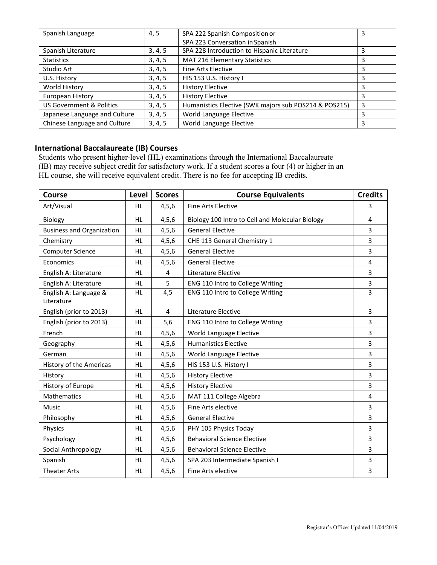| Spanish Language                    | 4,5     | SPA 222 Spanish Composition or                        | 3 |
|-------------------------------------|---------|-------------------------------------------------------|---|
|                                     |         | SPA 223 Conversation in Spanish                       |   |
| Spanish Literature                  | 3, 4, 5 | SPA 228 Introduction to Hispanic Literature           |   |
| <b>Statistics</b>                   | 3, 4, 5 | MAT 216 Elementary Statistics                         | 3 |
| Studio Art                          | 3, 4, 5 | Fine Arts Elective                                    | 3 |
| U.S. History                        | 3, 4, 5 | HIS 153 U.S. History I                                | 3 |
| World History                       | 3, 4, 5 | <b>History Elective</b>                               | 3 |
| European History                    | 3, 4, 5 | <b>History Elective</b>                               |   |
| <b>US Government &amp; Politics</b> | 3, 4, 5 | Humanistics Elective (SWK majors sub POS214 & POS215) | 3 |
| Japanese Language and Culture       | 3, 4, 5 | World Language Elective                               | 3 |
| Chinese Language and Culture        | 3, 4, 5 | World Language Elective                               | 3 |

## **International Baccalaureate (IB) Courses**

Students who present higher-level (HL) examinations through the International Baccalaureate (IB) may receive subject credit for satisfactory work. If a student scores a four (4) or higher in an HL course, she will receive equivalent credit. There is no fee for accepting IB credits.

| <b>Course</b>                       | Level     | <b>Scores</b> | <b>Course Equivalents</b>                       | <b>Credits</b>          |
|-------------------------------------|-----------|---------------|-------------------------------------------------|-------------------------|
| Art/Visual                          | <b>HL</b> | 4, 5, 6       | <b>Fine Arts Elective</b>                       | 3                       |
| Biology                             | <b>HL</b> | 4, 5, 6       | Biology 100 Intro to Cell and Molecular Biology | 4                       |
| <b>Business and Organization</b>    | <b>HL</b> | 4, 5, 6       | <b>General Elective</b>                         | 3                       |
| Chemistry                           | <b>HL</b> | 4, 5, 6       | CHE 113 General Chemistry 1                     | 3                       |
| <b>Computer Science</b>             | <b>HL</b> | 4, 5, 6       | <b>General Elective</b>                         | 3                       |
| Economics                           | <b>HL</b> | 4, 5, 6       | <b>General Elective</b>                         | 4                       |
| English A: Literature               | <b>HL</b> | 4             | Literature Elective                             | 3                       |
| English A: Literature               | <b>HL</b> | 5             | ENG 110 Intro to College Writing                | 3                       |
| English A: Language &<br>Literature | <b>HL</b> | 4,5           | ENG 110 Intro to College Writing                | 3                       |
| English (prior to 2013)             | <b>HL</b> | 4             | Literature Elective                             | 3                       |
| English (prior to 2013)             | <b>HL</b> | 5,6           | ENG 110 Intro to College Writing                | 3                       |
| French                              | <b>HL</b> | 4, 5, 6       | World Language Elective                         | 3                       |
| Geography                           | <b>HL</b> | 4, 5, 6       | <b>Humanistics Elective</b>                     | 3                       |
| German                              | <b>HL</b> | 4, 5, 6       | World Language Elective                         | 3                       |
| History of the Americas             | <b>HL</b> | 4, 5, 6       | HIS 153 U.S. History I                          | 3                       |
| History                             | <b>HL</b> | 4, 5, 6       | <b>History Elective</b>                         | 3                       |
| History of Europe                   | <b>HL</b> | 4, 5, 6       | <b>History Elective</b>                         | 3                       |
| <b>Mathematics</b>                  | <b>HL</b> | 4, 5, 6       | MAT 111 College Algebra                         | $\overline{\mathbf{4}}$ |
| Music                               | <b>HL</b> | 4, 5, 6       | Fine Arts elective                              | 3                       |
| Philosophy                          | <b>HL</b> | 4, 5, 6       | <b>General Elective</b>                         | 3                       |
| Physics                             | <b>HL</b> | 4, 5, 6       | PHY 105 Physics Today                           | 3                       |
| Psychology                          | <b>HL</b> | 4, 5, 6       | <b>Behavioral Science Elective</b>              | 3                       |
| Social Anthropology                 | <b>HL</b> | 4, 5, 6       | <b>Behavioral Science Elective</b>              | 3                       |
| Spanish                             | <b>HL</b> | 4, 5, 6       | SPA 203 Intermediate Spanish I                  |                         |
| <b>Theater Arts</b>                 | <b>HL</b> | 4, 5, 6       | Fine Arts elective                              | 3                       |